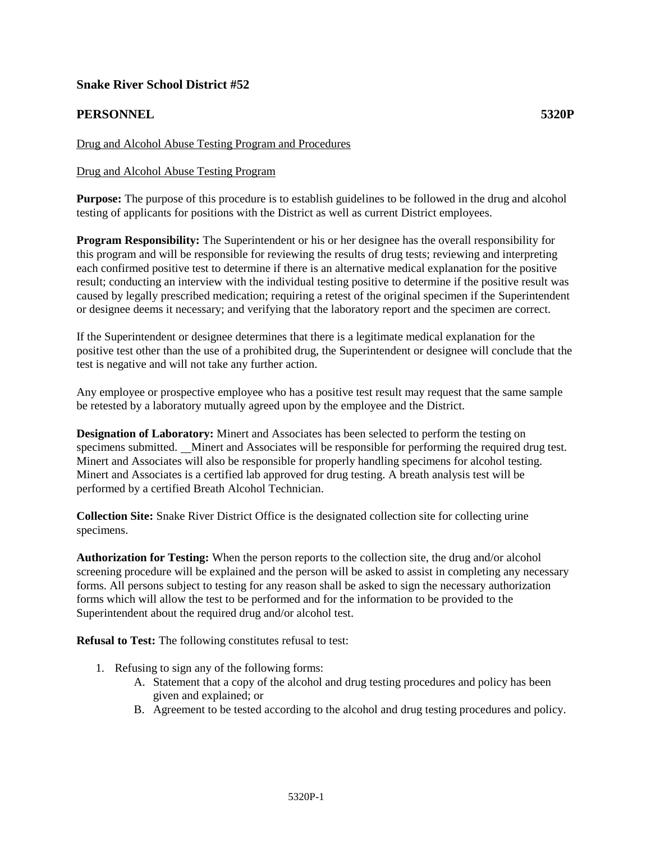# **Snake River School District #52**

# **PERSONNEL 5320P**

## Drug and Alcohol Abuse Testing Program and Procedures

### Drug and Alcohol Abuse Testing Program

**Purpose:** The purpose of this procedure is to establish guidelines to be followed in the drug and alcohol testing of applicants for positions with the District as well as current District employees.

**Program Responsibility:** The Superintendent or his or her designee has the overall responsibility for this program and will be responsible for reviewing the results of drug tests; reviewing and interpreting each confirmed positive test to determine if there is an alternative medical explanation for the positive result; conducting an interview with the individual testing positive to determine if the positive result was caused by legally prescribed medication; requiring a retest of the original specimen if the Superintendent or designee deems it necessary; and verifying that the laboratory report and the specimen are correct.

If the Superintendent or designee determines that there is a legitimate medical explanation for the positive test other than the use of a prohibited drug, the Superintendent or designee will conclude that the test is negative and will not take any further action.

Any employee or prospective employee who has a positive test result may request that the same sample be retested by a laboratory mutually agreed upon by the employee and the District.

**Designation of Laboratory:** Minert and Associates has been selected to perform the testing on specimens submitted. Minert and Associates will be responsible for performing the required drug test. Minert and Associates will also be responsible for properly handling specimens for alcohol testing. Minert and Associates is a certified lab approved for drug testing. A breath analysis test will be performed by a certified Breath Alcohol Technician.

**Collection Site:** Snake River District Office is the designated collection site for collecting urine specimens.

**Authorization for Testing:** When the person reports to the collection site, the drug and/or alcohol screening procedure will be explained and the person will be asked to assist in completing any necessary forms. All persons subject to testing for any reason shall be asked to sign the necessary authorization forms which will allow the test to be performed and for the information to be provided to the Superintendent about the required drug and/or alcohol test.

**Refusal to Test:** The following constitutes refusal to test:

- 1. Refusing to sign any of the following forms:
	- A. Statement that a copy of the alcohol and drug testing procedures and policy has been given and explained; or
	- B. Agreement to be tested according to the alcohol and drug testing procedures and policy.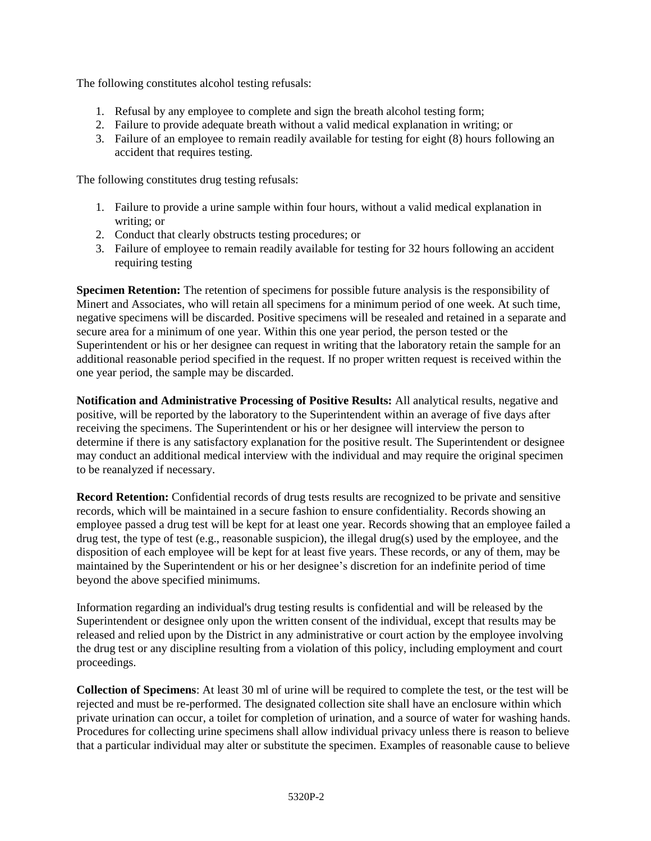The following constitutes alcohol testing refusals:

- 1. Refusal by any employee to complete and sign the breath alcohol testing form;
- 2. Failure to provide adequate breath without a valid medical explanation in writing; or
- 3. Failure of an employee to remain readily available for testing for eight (8) hours following an accident that requires testing.

The following constitutes drug testing refusals:

- 1. Failure to provide a urine sample within four hours, without a valid medical explanation in writing; or
- 2. Conduct that clearly obstructs testing procedures; or
- 3. Failure of employee to remain readily available for testing for 32 hours following an accident requiring testing

**Specimen Retention:** The retention of specimens for possible future analysis is the responsibility of Minert and Associates, who will retain all specimens for a minimum period of one week. At such time, negative specimens will be discarded. Positive specimens will be resealed and retained in a separate and secure area for a minimum of one year. Within this one year period, the person tested or the Superintendent or his or her designee can request in writing that the laboratory retain the sample for an additional reasonable period specified in the request. If no proper written request is received within the one year period, the sample may be discarded.

**Notification and Administrative Processing of Positive Results:** All analytical results, negative and positive, will be reported by the laboratory to the Superintendent within an average of five days after receiving the specimens. The Superintendent or his or her designee will interview the person to determine if there is any satisfactory explanation for the positive result. The Superintendent or designee may conduct an additional medical interview with the individual and may require the original specimen to be reanalyzed if necessary.

**Record Retention:** Confidential records of drug tests results are recognized to be private and sensitive records, which will be maintained in a secure fashion to ensure confidentiality. Records showing an employee passed a drug test will be kept for at least one year. Records showing that an employee failed a drug test, the type of test (e.g., reasonable suspicion), the illegal drug(s) used by the employee, and the disposition of each employee will be kept for at least five years. These records, or any of them, may be maintained by the Superintendent or his or her designee's discretion for an indefinite period of time beyond the above specified minimums.

Information regarding an individual's drug testing results is confidential and will be released by the Superintendent or designee only upon the written consent of the individual, except that results may be released and relied upon by the District in any administrative or court action by the employee involving the drug test or any discipline resulting from a violation of this policy, including employment and court proceedings.

**Collection of Specimens**: At least 30 ml of urine will be required to complete the test, or the test will be rejected and must be re-performed. The designated collection site shall have an enclosure within which private urination can occur, a toilet for completion of urination, and a source of water for washing hands. Procedures for collecting urine specimens shall allow individual privacy unless there is reason to believe that a particular individual may alter or substitute the specimen. Examples of reasonable cause to believe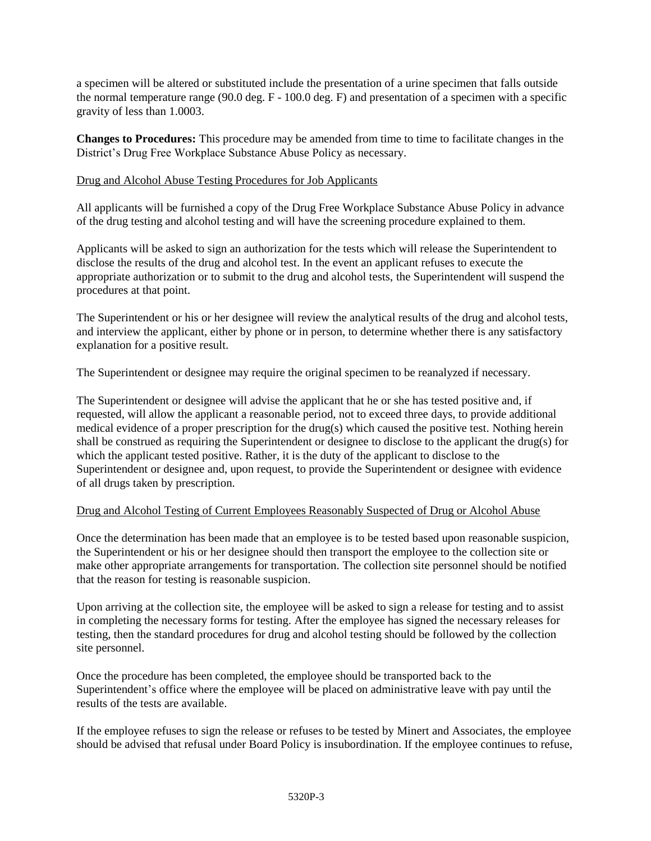a specimen will be altered or substituted include the presentation of a urine specimen that falls outside the normal temperature range  $(90.0 \text{ deg. F} - 100.0 \text{ deg. F})$  and presentation of a specimen with a specific gravity of less than 1.0003.

**Changes to Procedures:** This procedure may be amended from time to time to facilitate changes in the District's Drug Free Workplace Substance Abuse Policy as necessary.

#### Drug and Alcohol Abuse Testing Procedures for Job Applicants

All applicants will be furnished a copy of the Drug Free Workplace Substance Abuse Policy in advance of the drug testing and alcohol testing and will have the screening procedure explained to them.

Applicants will be asked to sign an authorization for the tests which will release the Superintendent to disclose the results of the drug and alcohol test. In the event an applicant refuses to execute the appropriate authorization or to submit to the drug and alcohol tests, the Superintendent will suspend the procedures at that point.

The Superintendent or his or her designee will review the analytical results of the drug and alcohol tests, and interview the applicant, either by phone or in person, to determine whether there is any satisfactory explanation for a positive result.

The Superintendent or designee may require the original specimen to be reanalyzed if necessary.

The Superintendent or designee will advise the applicant that he or she has tested positive and, if requested, will allow the applicant a reasonable period, not to exceed three days, to provide additional medical evidence of a proper prescription for the drug(s) which caused the positive test. Nothing herein shall be construed as requiring the Superintendent or designee to disclose to the applicant the drug(s) for which the applicant tested positive. Rather, it is the duty of the applicant to disclose to the Superintendent or designee and, upon request, to provide the Superintendent or designee with evidence of all drugs taken by prescription.

#### Drug and Alcohol Testing of Current Employees Reasonably Suspected of Drug or Alcohol Abuse

Once the determination has been made that an employee is to be tested based upon reasonable suspicion, the Superintendent or his or her designee should then transport the employee to the collection site or make other appropriate arrangements for transportation. The collection site personnel should be notified that the reason for testing is reasonable suspicion.

Upon arriving at the collection site, the employee will be asked to sign a release for testing and to assist in completing the necessary forms for testing. After the employee has signed the necessary releases for testing, then the standard procedures for drug and alcohol testing should be followed by the collection site personnel.

Once the procedure has been completed, the employee should be transported back to the Superintendent's office where the employee will be placed on administrative leave with pay until the results of the tests are available.

If the employee refuses to sign the release or refuses to be tested by Minert and Associates*,* the employee should be advised that refusal under Board Policy is insubordination. If the employee continues to refuse,